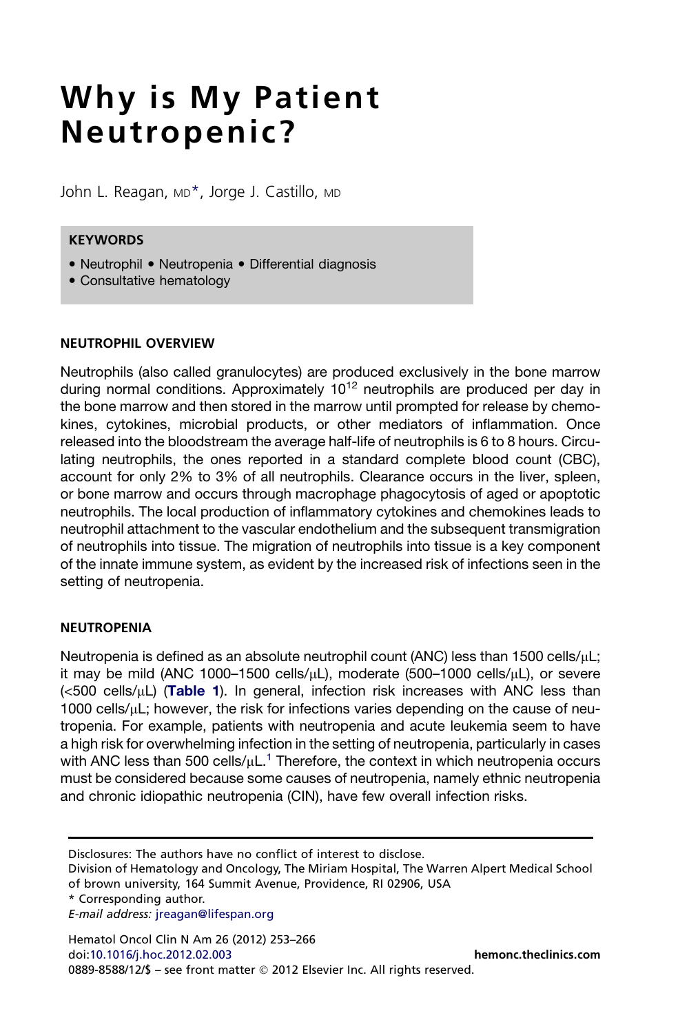# Why is My Patient Neutropenic?

John L. Reagan, MD<sup>\*</sup>, Jorge J. Castillo, MD

#### **KEYWORDS**

- Neutrophil Neutropenia Differential diagnosis
- Consultative hematology

#### NEUTROPHIL OVERVIEW

Neutrophils (also called granulocytes) are produced exclusively in the bone marrow during normal conditions. Approximately  $10^{12}$  neutrophils are produced per day in the bone marrow and then stored in the marrow until prompted for release by chemokines, cytokines, microbial products, or other mediators of inflammation. Once released into the bloodstream the average half-life of neutrophils is 6 to 8 hours. Circulating neutrophils, the ones reported in a standard complete blood count (CBC), account for only 2% to 3% of all neutrophils. Clearance occurs in the liver, spleen, or bone marrow and occurs through macrophage phagocytosis of aged or apoptotic neutrophils. The local production of inflammatory cytokines and chemokines leads to neutrophil attachment to the vascular endothelium and the subsequent transmigration of neutrophils into tissue. The migration of neutrophils into tissue is a key component of the innate immune system, as evident by the increased risk of infections seen in the setting of neutropenia.

## **NEUTROPENIA**

Neutropenia is defined as an absolute neutrophil count (ANC) less than  $1500$  cells/ $\mu$ L; it may be mild (ANC 1000–1500 cells/ $\mu$ L), moderate (500–1000 cells/ $\mu$ L), or severe  $(**500**$  cells/ $<sub>u</sub>$ L) ([Table 1](#page-1-0)). In general, infection risk increases with ANC less than</sub> 1000 cells/uL; however, the risk for infections varies depending on the cause of neutropenia. For example, patients with neutropenia and acute leukemia seem to have a high risk for overwhelming infection in the setting of neutropenia, particularly in cases with ANC less than 500 cells/ $\mu$ L.<sup>1</sup> Therefore, the context in which neutropenia occurs must be considered because some causes of neutropenia, namely ethnic neutropenia and chronic idiopathic neutropenia (CIN), have few overall infection risks.

Disclosures: The authors have no conflict of interest to disclose.

Division of Hematology and Oncology, The Miriam Hospital, The Warren Alpert Medical School of brown university, 164 Summit Avenue, Providence, RI 02906, USA

\* Corresponding author.

E-mail address: [jreagan@lifespan.org](mailto:jreagan@lifespan.org)

Hematol Oncol Clin N Am 26 (2012) 253–266 doi[:10.1016/j.hoc.2012.02.003](http://dx.doi.org/10.1016/j.hoc.2012.02.003) [hemonc.theclinics.com](http://hemonc.theclinics.com) 0889-8588/12/\$ - see front matter © 2012 Elsevier Inc. All rights reserved.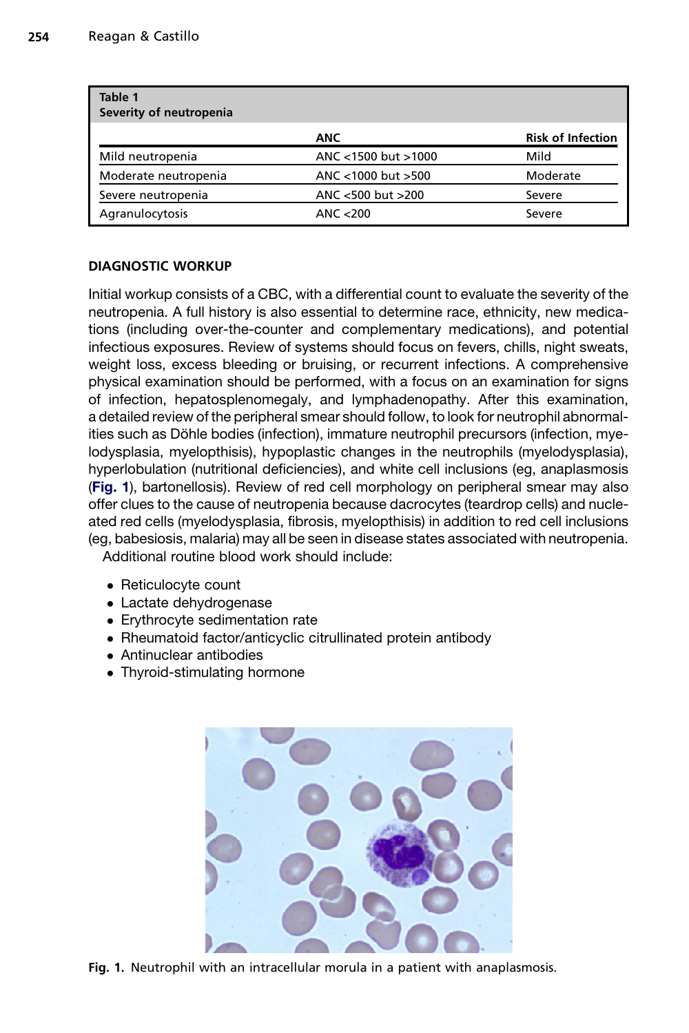<span id="page-1-0"></span>

| Table 1<br>Severity of neutropenia |                     |                          |
|------------------------------------|---------------------|--------------------------|
|                                    | <b>ANC</b>          | <b>Risk of Infection</b> |
| Mild neutropenia                   | ANC <1500 but >1000 | Mild                     |
| Moderate neutropenia               | ANC <1000 but >500  | Moderate                 |
| Severe neutropenia                 | ANC <500 but >200   | Severe                   |
| Agranulocytosis                    | ANC < 200           | Severe                   |

## DIAGNOSTIC WORKUP

Initial workup consists of a CBC, with a differential count to evaluate the severity of the neutropenia. A full history is also essential to determine race, ethnicity, new medications (including over-the-counter and complementary medications), and potential infectious exposures. Review of systems should focus on fevers, chills, night sweats, weight loss, excess bleeding or bruising, or recurrent infections. A comprehensive physical examination should be performed, with a focus on an examination for signs of infection, hepatosplenomegaly, and lymphadenopathy. After this examination, a detailed review of the peripheral smear should follow, to look for neutrophil abnormalities such as Döhle bodies (infection), immature neutrophil precursors (infection, myelodysplasia, myelopthisis), hypoplastic changes in the neutrophils (myelodysplasia), hyperlobulation (nutritional deficiencies), and white cell inclusions (eg, anaplasmosis (Fig. 1), bartonellosis). Review of red cell morphology on peripheral smear may also offer clues to the cause of neutropenia because dacrocytes (teardrop cells) and nucleated red cells (myelodysplasia, fibrosis, myelopthisis) in addition to red cell inclusions (eg, babesiosis, malaria) may all be seen in disease states associated with neutropenia. Additional routine blood work should include:

- Reticulocyte count
- Lactate dehydrogenase
- Erythrocyte sedimentation rate
- Rheumatoid factor/anticyclic citrullinated protein antibody
- Antinuclear antibodies
- Thyroid-stimulating hormone



Fig. 1. Neutrophil with an intracellular morula in a patient with anaplasmosis.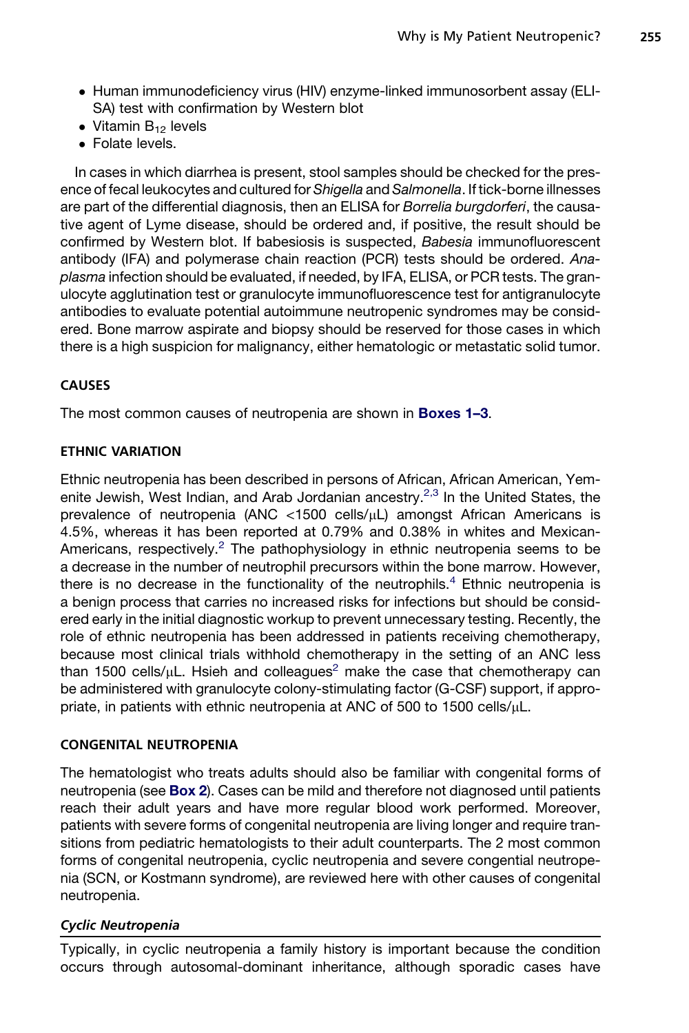- Human immunodeficiency virus (HIV) enzyme-linked immunosorbent assay (ELI-SA) test with confirmation by Western blot
- $\bullet$  Vitamin  $B_{12}$  levels
- Folate levels.

In cases in which diarrhea is present, stool samples should be checked for the presence of fecal leukocytes and cultured for *Shigella* and *Salmonella*. If tick-borne illnesses are part of the differential diagnosis, then an ELISA for *Borrelia burgdorferi*, the causative agent of Lyme disease, should be ordered and, if positive, the result should be confirmed by Western blot. If babesiosis is suspected, *Babesia* immunofluorescent antibody (IFA) and polymerase chain reaction (PCR) tests should be ordered. *Anaplasma* infection should be evaluated, if needed, by IFA, ELISA, or PCR tests. The granulocyte agglutination test or granulocyte immunofluorescence test for antigranulocyte antibodies to evaluate potential autoimmune neutropenic syndromes may be considered. Bone marrow aspirate and biopsy should be reserved for those cases in which there is a high suspicion for malignancy, either hematologic or metastatic solid tumor.

## CAUSES

The most common causes of neutropenia are shown in **[Boxes 1–3](#page-3-0)**.

## ETHNIC VARIATION

Ethnic neutropenia has been described in persons of African, African American, Yem-enite Jewish, West Indian, and Arab Jordanian ancestry.<sup>[2,3](#page-11-0)</sup> In the United States, the prevalence of neutropenia (ANC <1500 cells/uL) amongst African Americans is 4.5%, whereas it has been reported at 0.79% and 0.38% in whites and Mexican-Americans, respectively.<sup>[2](#page-11-0)</sup> The pathophysiology in ethnic neutropenia seems to be a decrease in the number of neutrophil precursors within the bone marrow. However, there is no decrease in the functionality of the neutrophils.<sup>[4](#page-11-0)</sup> Ethnic neutropenia is a benign process that carries no increased risks for infections but should be considered early in the initial diagnostic workup to prevent unnecessary testing. Recently, the role of ethnic neutropenia has been addressed in patients receiving chemotherapy, because most clinical trials withhold chemotherapy in the setting of an ANC less than 1500 cells/ $\mu$ L. Hsieh and colleagues<sup>[2](#page-11-0)</sup> make the case that chemotherapy can be administered with granulocyte colony-stimulating factor (G-CSF) support, if appropriate, in patients with ethnic neutropenia at ANC of 500 to 1500 cells/ $\mu$ L.

## CONGENITAL NEUTROPENIA

The hematologist who treats adults should also be familiar with congenital forms of neutropenia (see [Box 2](#page-4-0)). Cases can be mild and therefore not diagnosed until patients reach their adult years and have more regular blood work performed. Moreover, patients with severe forms of congenital neutropenia are living longer and require transitions from pediatric hematologists to their adult counterparts. The 2 most common forms of congenital neutropenia, cyclic neutropenia and severe congential neutropenia (SCN, or Kostmann syndrome), are reviewed here with other causes of congenital neutropenia.

## Cyclic Neutropenia

Typically, in cyclic neutropenia a family history is important because the condition occurs through autosomal-dominant inheritance, although sporadic cases have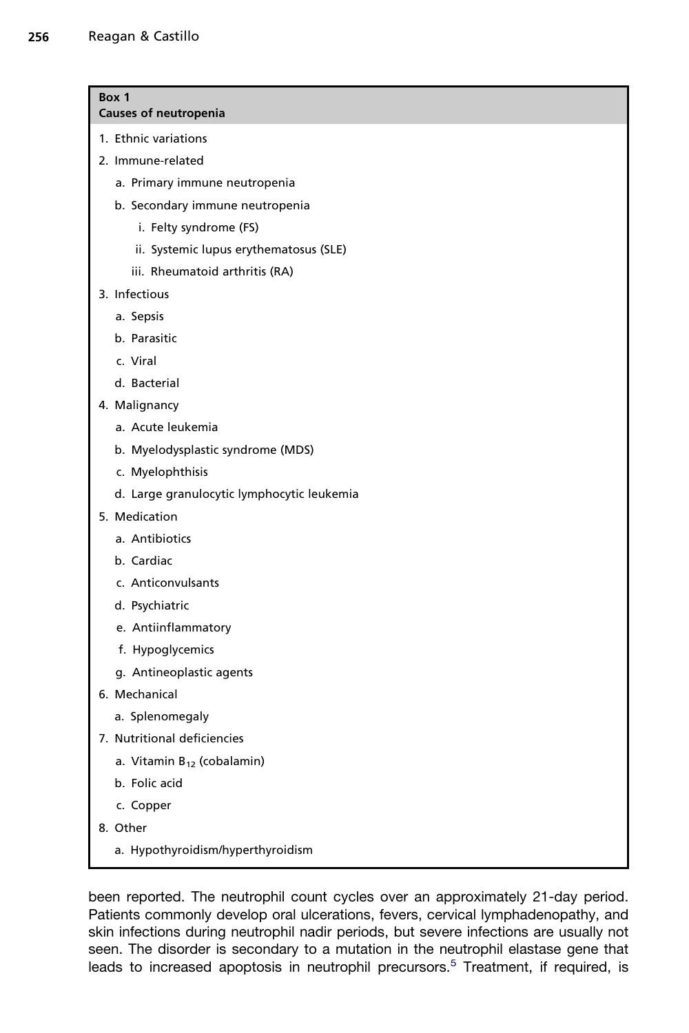<span id="page-3-0"></span>

| Box 1                        |  |  |
|------------------------------|--|--|
| <b>Causes of neutropenia</b> |  |  |

- 
- 1. Ethnic variations
- 2. Immune-related
	- a. Primary immune neutropenia
	- b. Secondary immune neutropenia
		- i. Felty syndrome (FS)
		- ii. Systemic lupus erythematosus (SLE)
		- iii. Rheumatoid arthritis (RA)
- 3. Infectious
	- a. Sepsis
	- b. Parasitic
	- c. Viral
	- d. Bacterial
- 4. Malignancy
	- a. Acute leukemia
	- b. Myelodysplastic syndrome (MDS)
	- c. Myelophthisis
	- d. Large granulocytic lymphocytic leukemia
- 5. Medication
	- a. Antibiotics
	- b. Cardiac
	- c. Anticonvulsants
	- d. Psychiatric
	- e. Antiinflammatory
	- f. Hypoglycemics
	- g. Antineoplastic agents
- 6. Mechanical
	- a. Splenomegaly
- 7. Nutritional deficiencies
	- a. Vitamin  $B_{12}$  (cobalamin)
	- b. Folic acid
	- c. Copper
- 8. Other
	- a. Hypothyroidism/hyperthyroidism

been reported. The neutrophil count cycles over an approximately 21-day period. Patients commonly develop oral ulcerations, fevers, cervical lymphadenopathy, and skin infections during neutrophil nadir periods, but severe infections are usually not seen. The disorder is secondary to a mutation in the neutrophil elastase gene that leads to increased apoptosis in neutrophil precursors.<sup>[5](#page-11-0)</sup> Treatment, if required, is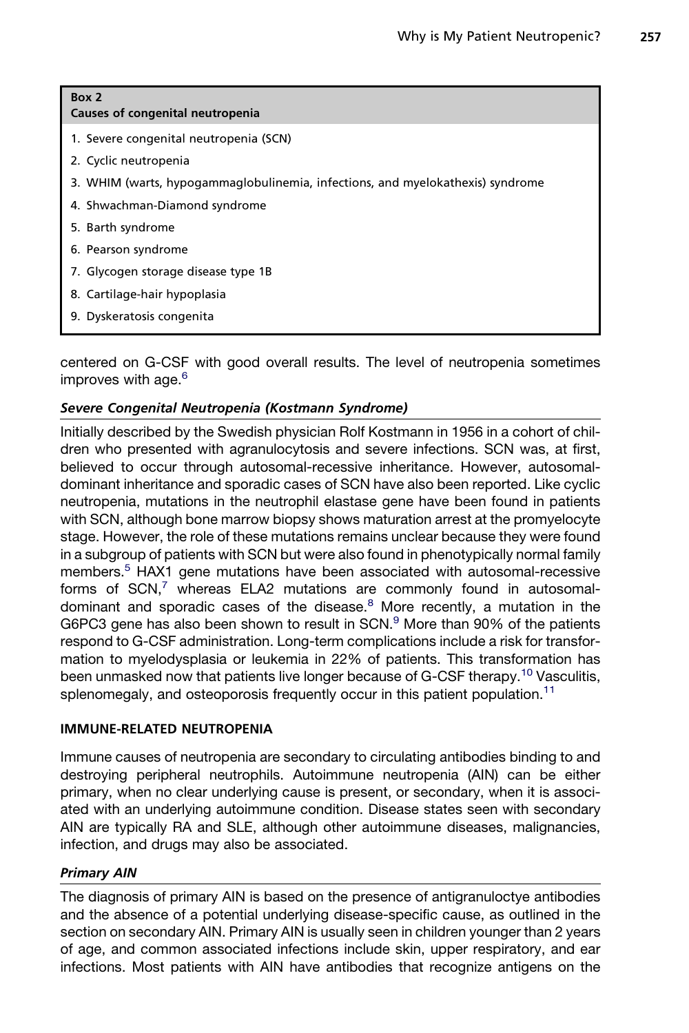<span id="page-4-0"></span>

| Box 2<br>Causes of congenital neutropenia                                      |
|--------------------------------------------------------------------------------|
| 1. Severe congenital neutropenia (SCN)                                         |
| 2. Cyclic neutropenia                                                          |
| 3. WHIM (warts, hypogammaglobulinemia, infections, and myelokathexis) syndrome |
| 4. Shwachman-Diamond syndrome                                                  |
| 5. Barth syndrome                                                              |
| 6. Pearson syndrome                                                            |
| 7. Glycogen storage disease type 1B                                            |
| 8. Cartilage-hair hypoplasia                                                   |
| 9. Dyskeratosis congenita                                                      |
|                                                                                |

centered on G-CSF with good overall results. The level of neutropenia sometimes improves with age.<sup>[6](#page-11-0)</sup>

## Severe Congenital Neutropenia (Kostmann Syndrome)

Initially described by the Swedish physician Rolf Kostmann in 1956 in a cohort of children who presented with agranulocytosis and severe infections. SCN was, at first, believed to occur through autosomal-recessive inheritance. However, autosomaldominant inheritance and sporadic cases of SCN have also been reported. Like cyclic neutropenia, mutations in the neutrophil elastase gene have been found in patients with SCN, although bone marrow biopsy shows maturation arrest at the promyelocyte stage. However, the role of these mutations remains unclear because they were found in a subgroup of patients with SCN but were also found in phenotypically normal family members.<sup>5</sup> HAX1 gene mutations have been associated with autosomal-recessive forms of  $SCN$ ,<sup>[7](#page-11-0)</sup> whereas ELA2 mutations are commonly found in autosomaldominant and sporadic cases of the disease. $8$  More recently, a mutation in the G6PC3 gene has also been shown to result in  $SCN<sup>9</sup>$  $SCN<sup>9</sup>$  $SCN<sup>9</sup>$  More than 90% of the patients respond to G-CSF administration. Long-term complications include a risk for transformation to myelodysplasia or leukemia in 22% of patients. This transformation has been unmasked now that patients live longer because of G-CSF therapy.<sup>[10](#page-11-0)</sup> Vasculitis, splenomegaly, and osteoporosis frequently occur in this patient population.<sup>[11](#page-11-0)</sup>

#### IMMUNE-RELATED NEUTROPENIA

Immune causes of neutropenia are secondary to circulating antibodies binding to and destroying peripheral neutrophils. Autoimmune neutropenia (AIN) can be either primary, when no clear underlying cause is present, or secondary, when it is associated with an underlying autoimmune condition. Disease states seen with secondary AIN are typically RA and SLE, although other autoimmune diseases, malignancies, infection, and drugs may also be associated.

#### Primary AIN

The diagnosis of primary AIN is based on the presence of antigranuloctye antibodies and the absence of a potential underlying disease-specific cause, as outlined in the section on secondary AIN. Primary AIN is usually seen in children younger than 2 years of age, and common associated infections include skin, upper respiratory, and ear infections. Most patients with AIN have antibodies that recognize antigens on the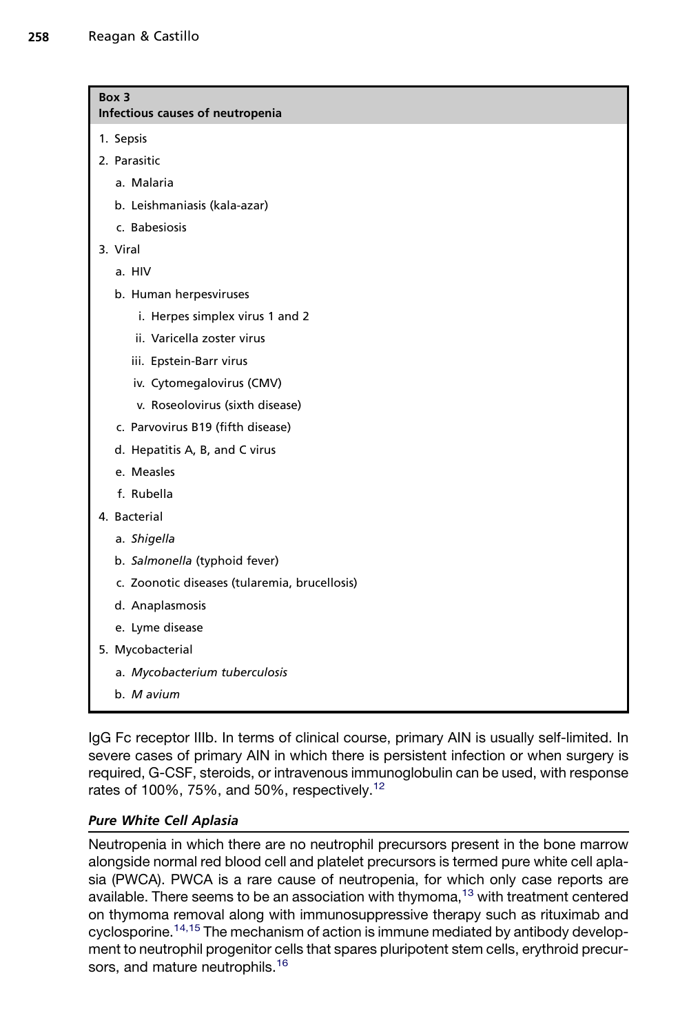<span id="page-5-0"></span>

| Box 3<br>Infectious causes of neutropenia     |  |  |  |  |
|-----------------------------------------------|--|--|--|--|
| 1. Sepsis                                     |  |  |  |  |
| 2. Parasitic                                  |  |  |  |  |
| a. Malaria                                    |  |  |  |  |
| b. Leishmaniasis (kala-azar)                  |  |  |  |  |
| c. Babesiosis                                 |  |  |  |  |
| 3. Viral                                      |  |  |  |  |
| a. HIV                                        |  |  |  |  |
| b. Human herpesviruses                        |  |  |  |  |
| i. Herpes simplex virus 1 and 2               |  |  |  |  |
| ii. Varicella zoster virus                    |  |  |  |  |
| iii. Epstein-Barr virus                       |  |  |  |  |
| iv. Cytomegalovirus (CMV)                     |  |  |  |  |
| v. Roseolovirus (sixth disease)               |  |  |  |  |
| c. Parvovirus B19 (fifth disease)             |  |  |  |  |
| d. Hepatitis A, B, and C virus                |  |  |  |  |
| e. Measles                                    |  |  |  |  |
| f. Rubella                                    |  |  |  |  |
| 4. Bacterial                                  |  |  |  |  |
| a. Shigella                                   |  |  |  |  |
| b. Salmonella (typhoid fever)                 |  |  |  |  |
| c. Zoonotic diseases (tularemia, brucellosis) |  |  |  |  |
| d. Anaplasmosis                               |  |  |  |  |
| e. Lyme disease                               |  |  |  |  |
| 5. Mycobacterial                              |  |  |  |  |
| a. Mycobacterium tuberculosis                 |  |  |  |  |
| b. M avium                                    |  |  |  |  |

IgG Fc receptor IIIb. In terms of clinical course, primary AIN is usually self-limited. In severe cases of primary AIN in which there is persistent infection or when surgery is required, G-CSF, steroids, or intravenous immunoglobulin can be used, with response rates of 100%, 75%, and 50%, respectively.<sup>[12](#page-11-0)</sup>

# Pure White Cell Aplasia

Neutropenia in which there are no neutrophil precursors present in the bone marrow alongside normal red blood cell and platelet precursors is termed pure white cell aplasia (PWCA). PWCA is a rare cause of neutropenia, for which only case reports are available. There seems to be an association with thymoma,<sup>[13](#page-12-0)</sup> with treatment centered on thymoma removal along with immunosuppressive therapy such as rituximab and cyclosporine.<sup>[14,15](#page-12-0)</sup> The mechanism of action is immune mediated by antibody development to neutrophil progenitor cells that spares pluripotent stem cells, erythroid precur-sors, and mature neutrophils.<sup>[16](#page-12-0)</sup>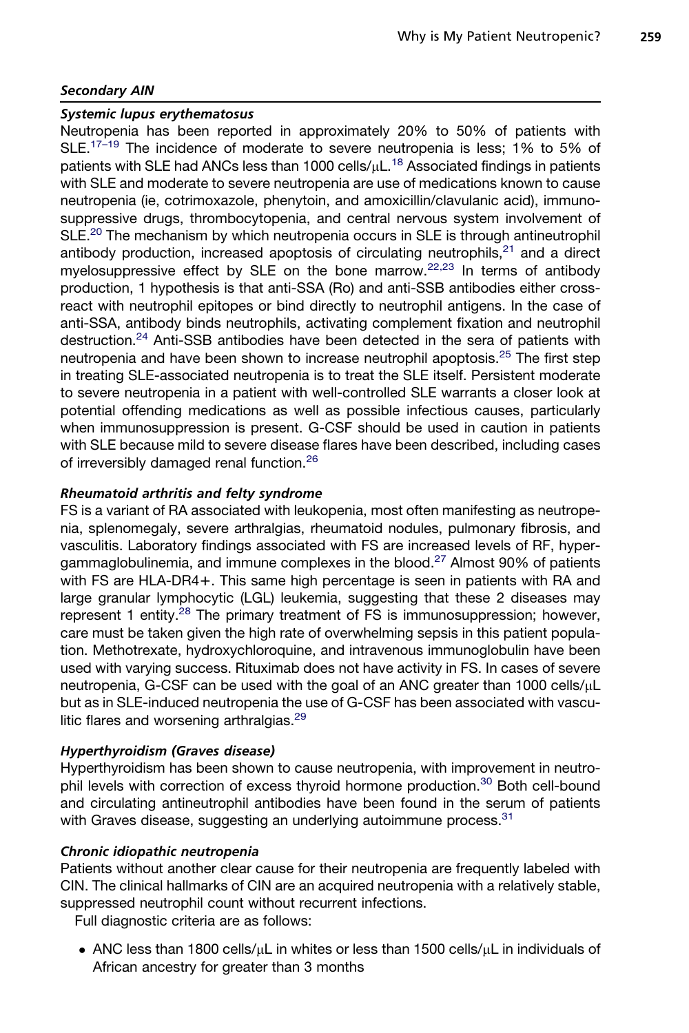## Secondary AIN

#### Systemic lupus erythematosus

Neutropenia has been reported in approximately 20% to 50% of patients with SLE.<sup>[17–19](#page-12-0)</sup> The incidence of moderate to severe neutropenia is less; 1% to 5% of patients with SLE had ANCs less than 1000 cells/ $\mu$ L.<sup>[18](#page-12-0)</sup> Associated findings in patients with SLE and moderate to severe neutropenia are use of medications known to cause neutropenia (ie, cotrimoxazole, phenytoin, and amoxicillin/clavulanic acid), immunosuppressive drugs, thrombocytopenia, and central nervous system involvement of SLE.<sup>[20](#page-12-0)</sup> The mechanism by which neutropenia occurs in SLE is through antineutrophil antibody production, increased apoptosis of circulating neutrophils, $21$  and a direct myelosuppressive effect by SLE on the bone marrow.<sup>[22,23](#page-12-0)</sup> In terms of antibody production, 1 hypothesis is that anti-SSA (Ro) and anti-SSB antibodies either crossreact with neutrophil epitopes or bind directly to neutrophil antigens. In the case of anti-SSA, antibody binds neutrophils, activating complement fixation and neutrophil destruction.<sup>[24](#page-12-0)</sup> Anti-SSB antibodies have been detected in the sera of patients with neutropenia and have been shown to increase neutrophil apoptosis.<sup>[25](#page-12-0)</sup> The first step in treating SLE-associated neutropenia is to treat the SLE itself. Persistent moderate to severe neutropenia in a patient with well-controlled SLE warrants a closer look at potential offending medications as well as possible infectious causes, particularly when immunosuppression is present. G-CSF should be used in caution in patients with SLE because mild to severe disease flares have been described, including cases of irreversibly damaged renal function.<sup>[26](#page-12-0)</sup>

## Rheumatoid arthritis and felty syndrome

FS is a variant of RA associated with leukopenia, most often manifesting as neutropenia, splenomegaly, severe arthralgias, rheumatoid nodules, pulmonary fibrosis, and vasculitis. Laboratory findings associated with FS are increased levels of RF, hyper-gammaglobulinemia, and immune complexes in the blood.<sup>[27](#page-12-0)</sup> Almost 90% of patients with FS are HLA-DR4+. This same high percentage is seen in patients with RA and large granular lymphocytic (LGL) leukemia, suggesting that these 2 diseases may represent 1 entity.<sup>[28](#page-12-0)</sup> The primary treatment of FS is immunosuppression; however, care must be taken given the high rate of overwhelming sepsis in this patient population. Methotrexate, hydroxychloroquine, and intravenous immunoglobulin have been used with varying success. Rituximab does not have activity in FS. In cases of severe neutropenia, G-CSF can be used with the goal of an ANC greater than 1000 cells/ $\mu$ L but as in SLE-induced neutropenia the use of G-CSF has been associated with vascu-litic flares and worsening arthralgias.<sup>[29](#page-12-0)</sup>

#### Hyperthyroidism (Graves disease)

Hyperthyroidism has been shown to cause neutropenia, with improvement in neutro-phil levels with correction of excess thyroid hormone production.<sup>[30](#page-12-0)</sup> Both cell-bound and circulating antineutrophil antibodies have been found in the serum of patients with Graves disease, suggesting an underlying autoimmune process.<sup>[31](#page-12-0)</sup>

#### Chronic idiopathic neutropenia

Patients without another clear cause for their neutropenia are frequently labeled with CIN. The clinical hallmarks of CIN are an acquired neutropenia with a relatively stable, suppressed neutrophil count without recurrent infections.

Full diagnostic criteria are as follows:

• ANC less than 1800 cells/ $\mu$ L in whites or less than 1500 cells/ $\mu$ L in individuals of African ancestry for greater than 3 months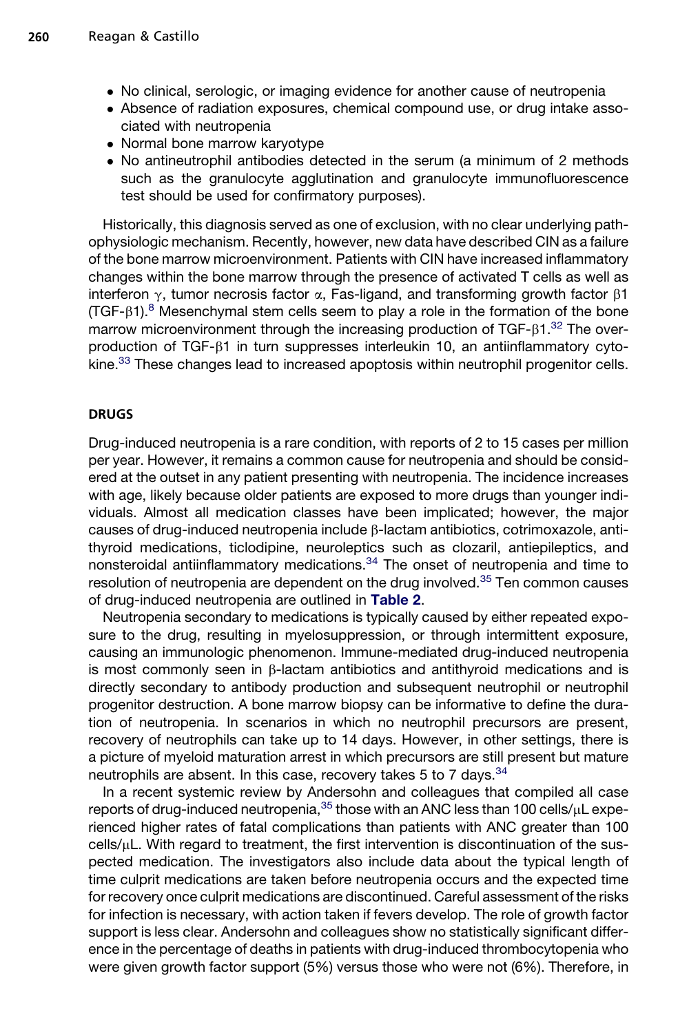- No clinical, serologic, or imaging evidence for another cause of neutropenia
- Absence of radiation exposures, chemical compound use, or drug intake associated with neutropenia
- Normal bone marrow karyotype
- No antineutrophil antibodies detected in the serum (a minimum of 2 methods such as the granulocyte agglutination and granulocyte immunofluorescence test should be used for confirmatory purposes).

Historically, this diagnosis served as one of exclusion, with no clear underlying pathophysiologic mechanism. Recently, however, new data have described CIN as a failure of the bone marrow microenvironment. Patients with CIN have increased inflammatory changes within the bone marrow through the presence of activated T cells as well as interferon  $\gamma$ , tumor necrosis factor  $\alpha$ , Fas-ligand, and transforming growth factor  $\beta$ 1  $(TGF- $\beta$ )<sup>8</sup> Mesenchymal stem cells seem to play a role in the formation of the bone$  $(TGF- $\beta$ )<sup>8</sup> Mesenchymal stem cells seem to play a role in the formation of the bone$  $(TGF- $\beta$ )<sup>8</sup> Mesenchymal stem cells seem to play a role in the formation of the bone$ marrow microenvironment through the increasing production of  $TGF-<sub>81</sub>$ .<sup>32</sup> The overproduction of TGF- $\beta$ 1 in turn suppresses interleukin 10, an antiinflammatory cyto-kine.<sup>[33](#page-13-0)</sup> These changes lead to increased apoptosis within neutrophil progenitor cells.

#### DRUGS

Drug-induced neutropenia is a rare condition, with reports of 2 to 15 cases per million per year. However, it remains a common cause for neutropenia and should be considered at the outset in any patient presenting with neutropenia. The incidence increases with age, likely because older patients are exposed to more drugs than younger individuals. Almost all medication classes have been implicated; however, the major causes of drug-induced neutropenia include b-lactam antibiotics, cotrimoxazole, antithyroid medications, ticlodipine, neuroleptics such as clozaril, antiepileptics, and nonsteroidal antiinflammatory medications.<sup>[34](#page-13-0)</sup> The onset of neutropenia and time to resolution of neutropenia are dependent on the drug involved.<sup>[35](#page-13-0)</sup> Ten common causes of drug-induced neutropenia are outlined in [Table 2](#page-8-0).

Neutropenia secondary to medications is typically caused by either repeated exposure to the drug, resulting in myelosuppression, or through intermittent exposure, causing an immunologic phenomenon. Immune-mediated drug-induced neutropenia is most commonly seen in  $\beta$ -lactam antibiotics and antithyroid medications and is directly secondary to antibody production and subsequent neutrophil or neutrophil progenitor destruction. A bone marrow biopsy can be informative to define the duration of neutropenia. In scenarios in which no neutrophil precursors are present, recovery of neutrophils can take up to 14 days. However, in other settings, there is a picture of myeloid maturation arrest in which precursors are still present but mature neutrophils are absent. In this case, recovery takes 5 to 7 days.<sup>[34](#page-13-0)</sup>

In a recent systemic review by Andersohn and colleagues that compiled all case reports of drug-induced neutropenia,  $35$  those with an ANC less than 100 cells/ $\mu$ L experienced higher rates of fatal complications than patients with ANC greater than 100 cells/ $\mu$ L. With regard to treatment, the first intervention is discontinuation of the suspected medication. The investigators also include data about the typical length of time culprit medications are taken before neutropenia occurs and the expected time for recovery once culprit medications are discontinued. Careful assessment of the risks for infection is necessary, with action taken if fevers develop. The role of growth factor support is less clear. Andersohn and colleagues show no statistically significant difference in the percentage of deaths in patients with drug-induced thrombocytopenia who were given growth factor support (5%) versus those who were not (6%). Therefore, in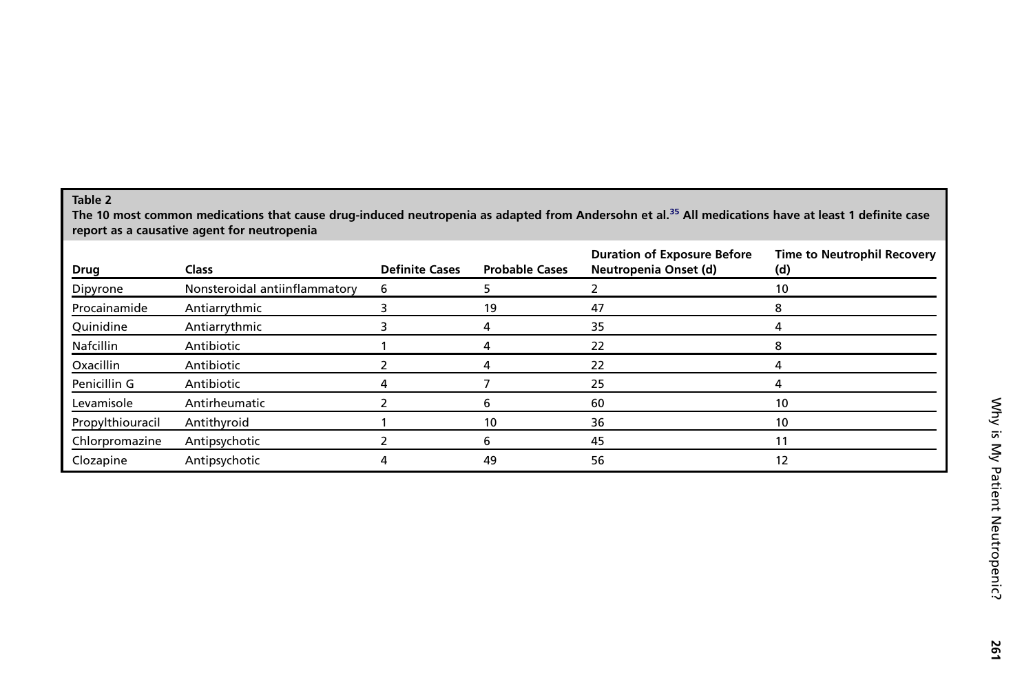## <span id="page-8-0"></span>Table 2

The 10 most common medications that cause drug-induced neutropenia as adapted from Andersohn et al.<sup>[35](#page-13-0)</sup> All medications have at least 1 definite case report as <sup>a</sup> causative agent for neutropenia

| Drug             | <b>Class</b>                  | <b>Definite Cases</b> | <b>Probable Cases</b> | <b>Duration of Exposure Before</b><br>Neutropenia Onset (d) | <b>Time to Neutrophil Recovery</b><br>(d) |
|------------------|-------------------------------|-----------------------|-----------------------|-------------------------------------------------------------|-------------------------------------------|
| Dipyrone         | Nonsteroidal antiinflammatory | 6                     |                       |                                                             | 10                                        |
| Procainamide     | Antiarrythmic                 |                       | 19                    | 47                                                          |                                           |
| Quinidine        | Antiarrythmic                 |                       |                       | 35                                                          |                                           |
| <b>Nafcillin</b> | Antibiotic                    |                       |                       | 22                                                          |                                           |
| Oxacillin        | Antibiotic                    |                       |                       | 22                                                          |                                           |
| Penicillin G     | Antibiotic                    |                       |                       | 25                                                          |                                           |
| Levamisole       | Antirheumatic                 |                       | h                     | 60                                                          | 10                                        |
| Propylthiouracil | Antithyroid                   |                       | 10                    | 36                                                          | 10                                        |
| Chlorpromazine   | Antipsychotic                 |                       | n                     | 45                                                          |                                           |
| Clozapine        | Antipsychotic                 |                       | 49                    | 56                                                          | 12                                        |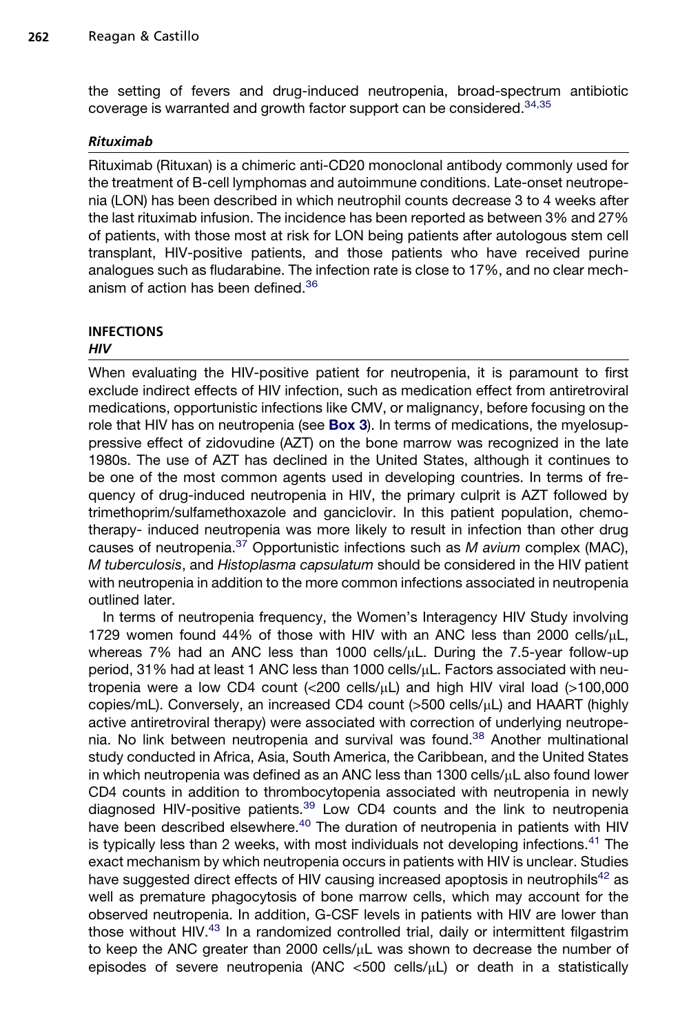the setting of fevers and drug-induced neutropenia, broad-spectrum antibiotic coverage is warranted and growth factor support can be considered.<sup>[34,35](#page-13-0)</sup>

## Rituximab

Rituximab (Rituxan) is a chimeric anti-CD20 monoclonal antibody commonly used for the treatment of B-cell lymphomas and autoimmune conditions. Late-onset neutropenia (LON) has been described in which neutrophil counts decrease 3 to 4 weeks after the last rituximab infusion. The incidence has been reported as between 3% and 27% of patients, with those most at risk for LON being patients after autologous stem cell transplant, HIV-positive patients, and those patients who have received purine analogues such as fludarabine. The infection rate is close to 17%, and no clear mech-anism of action has been defined.<sup>[36](#page-13-0)</sup>

#### INFECTIONS **HIV**

When evaluating the HIV-positive patient for neutropenia, it is paramount to first exclude indirect effects of HIV infection, such as medication effect from antiretroviral medications, opportunistic infections like CMV, or malignancy, before focusing on the role that HIV has on neutropenia (see **[Box 3](#page-5-0)**). In terms of medications, the myelosuppressive effect of zidovudine (AZT) on the bone marrow was recognized in the late 1980s. The use of AZT has declined in the United States, although it continues to be one of the most common agents used in developing countries. In terms of frequency of drug-induced neutropenia in HIV, the primary culprit is AZT followed by trimethoprim/sulfamethoxazole and ganciclovir. In this patient population, chemotherapy- induced neutropenia was more likely to result in infection than other drug causes of neutropenia.[37](#page-13-0) Opportunistic infections such as *M avium* complex (MAC), *M tuberculosis*, and *Histoplasma capsulatum* should be considered in the HIV patient with neutropenia in addition to the more common infections associated in neutropenia outlined later.

In terms of neutropenia frequency, the Women's Interagency HIV Study involving 1729 women found 44% of those with HIV with an ANC less than 2000 cells/ $\mu$ L, whereas 7% had an ANC less than 1000 cells/ $\mu$ L. During the 7.5-year follow-up period, 31% had at least 1 ANC less than 1000 cells/mL. Factors associated with neutropenia were a low CD4 count  $\langle$  (<200 cells/ $\mu$ L) and high HIV viral load (>100,000 copies/mL). Conversely, an increased CD4 count  $(>500 \text{ cells/µL})$  and HAART (highly active antiretroviral therapy) were associated with correction of underlying neutrope-nia. No link between neutropenia and survival was found.<sup>[38](#page-13-0)</sup> Another multinational study conducted in Africa, Asia, South America, the Caribbean, and the United States in which neutropenia was defined as an ANC less than  $1300$  cells/ $\mu$ L also found lower CD4 counts in addition to thrombocytopenia associated with neutropenia in newly diagnosed HIV-positive patients.<sup>[39](#page-13-0)</sup> Low CD4 counts and the link to neutropenia have been described elsewhere.<sup>[40](#page-13-0)</sup> The duration of neutropenia in patients with HIV is typically less than 2 weeks, with most individuals not developing infections.<sup>[41](#page-13-0)</sup> The exact mechanism by which neutropenia occurs in patients with HIV is unclear. Studies have suggested direct effects of HIV causing increased apoptosis in neutrophils<sup>[42](#page-13-0)</sup> as well as premature phagocytosis of bone marrow cells, which may account for the observed neutropenia. In addition, G-CSF levels in patients with HIV are lower than those without HIV.<sup>[43](#page-13-0)</sup> In a randomized controlled trial, daily or intermittent filgastrim to keep the ANC greater than 2000 cells/ $\mu$ L was shown to decrease the number of episodes of severe neutropenia (ANC  $<500$  cells/ $\mu$ L) or death in a statistically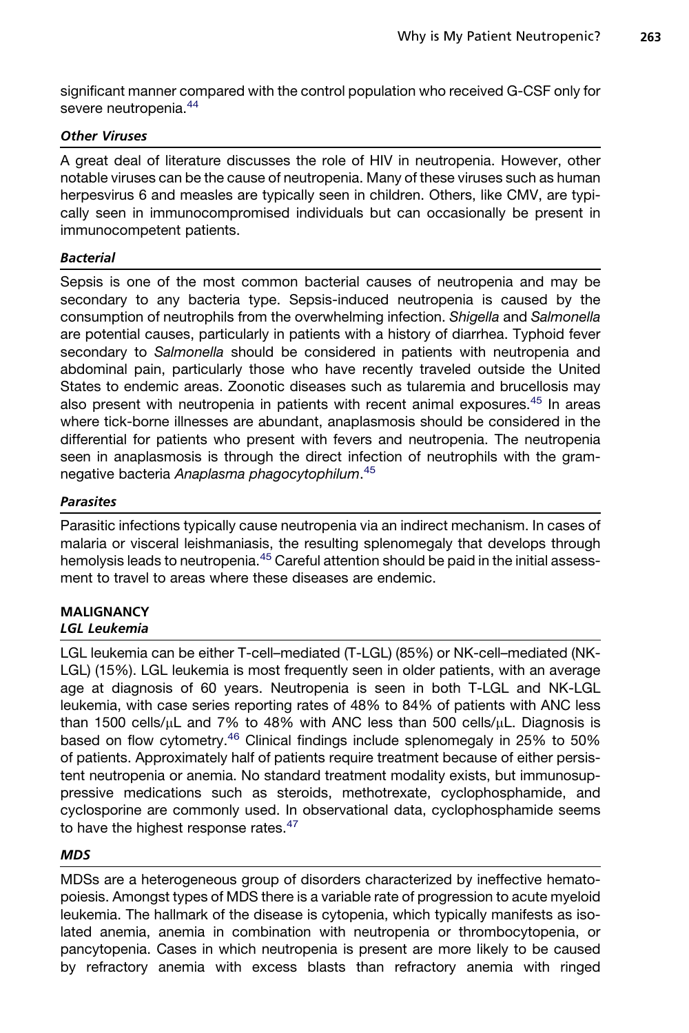significant manner compared with the control population who received G-CSF only for severe neutropenia.<sup>[44](#page-13-0)</sup>

## Other Viruses

A great deal of literature discusses the role of HIV in neutropenia. However, other notable viruses can be the cause of neutropenia. Many of these viruses such as human herpesvirus 6 and measles are typically seen in children. Others, like CMV, are typically seen in immunocompromised individuals but can occasionally be present in immunocompetent patients.

## **Bacterial**

Sepsis is one of the most common bacterial causes of neutropenia and may be secondary to any bacteria type. Sepsis-induced neutropenia is caused by the consumption of neutrophils from the overwhelming infection. *Shigella* and *Salmonella* are potential causes, particularly in patients with a history of diarrhea. Typhoid fever secondary to *Salmonella* should be considered in patients with neutropenia and abdominal pain, particularly those who have recently traveled outside the United States to endemic areas. Zoonotic diseases such as tularemia and brucellosis may also present with neutropenia in patients with recent animal exposures.<sup>[45](#page-13-0)</sup> In areas where tick-borne illnesses are abundant, anaplasmosis should be considered in the differential for patients who present with fevers and neutropenia. The neutropenia seen in anaplasmosis is through the direct infection of neutrophils with the gramnegative bacteria *Anaplasma phagocytophilum*. [45](#page-13-0)

## Parasites

Parasitic infections typically cause neutropenia via an indirect mechanism. In cases of malaria or visceral leishmaniasis, the resulting splenomegaly that develops through hemolysis leads to neutropenia.<sup>[45](#page-13-0)</sup> Careful attention should be paid in the initial assessment to travel to areas where these diseases are endemic.

#### MALIGNANCY LGL Leukemia

LGL leukemia can be either T-cell–mediated (T-LGL) (85%) or NK-cell–mediated (NK-LGL) (15%). LGL leukemia is most frequently seen in older patients, with an average age at diagnosis of 60 years. Neutropenia is seen in both T-LGL and NK-LGL leukemia, with case series reporting rates of 48% to 84% of patients with ANC less than 1500 cells/µL and 7% to 48% with ANC less than 500 cells/µL. Diagnosis is<br>based on flow cytometry.<sup>[46](#page-13-0)</sup> Clinical findings include splenomegaly in 25% to 50% of patients. Approximately half of patients require treatment because of either persistent neutropenia or anemia. No standard treatment modality exists, but immunosuppressive medications such as steroids, methotrexate, cyclophosphamide, and cyclosporine are commonly used. In observational data, cyclophosphamide seems to have the highest response rates.<sup>[47](#page-13-0)</sup>

## MDS

MDSs are a heterogeneous group of disorders characterized by ineffective hematopoiesis. Amongst types of MDS there is a variable rate of progression to acute myeloid leukemia. The hallmark of the disease is cytopenia, which typically manifests as isolated anemia, anemia in combination with neutropenia or thrombocytopenia, or pancytopenia. Cases in which neutropenia is present are more likely to be caused by refractory anemia with excess blasts than refractory anemia with ringed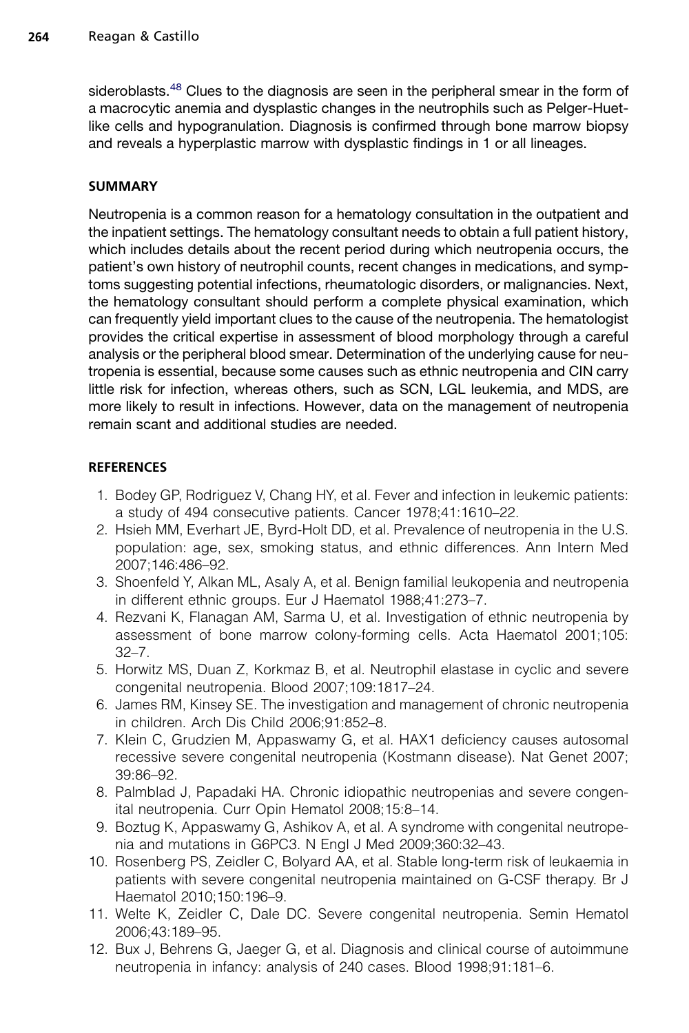<span id="page-11-0"></span>sideroblasts.<sup>[48](#page-13-0)</sup> Clues to the diagnosis are seen in the peripheral smear in the form of a macrocytic anemia and dysplastic changes in the neutrophils such as Pelger-Huetlike cells and hypogranulation. Diagnosis is confirmed through bone marrow biopsy and reveals a hyperplastic marrow with dysplastic findings in 1 or all lineages.

## SUMMARY

Neutropenia is a common reason for a hematology consultation in the outpatient and the inpatient settings. The hematology consultant needs to obtain a full patient history, which includes details about the recent period during which neutropenia occurs, the patient's own history of neutrophil counts, recent changes in medications, and symptoms suggesting potential infections, rheumatologic disorders, or malignancies. Next, the hematology consultant should perform a complete physical examination, which can frequently yield important clues to the cause of the neutropenia. The hematologist provides the critical expertise in assessment of blood morphology through a careful analysis or the peripheral blood smear. Determination of the underlying cause for neutropenia is essential, because some causes such as ethnic neutropenia and CIN carry little risk for infection, whereas others, such as SCN, LGL leukemia, and MDS, are more likely to result in infections. However, data on the management of neutropenia remain scant and additional studies are needed.

## **REFERENCES**

- 1. Bodey GP, Rodriguez V, Chang HY, et al. Fever and infection in leukemic patients: a study of 494 consecutive patients. Cancer 1978;41:1610–22.
- 2. Hsieh MM, Everhart JE, Byrd-Holt DD, et al. Prevalence of neutropenia in the U.S. population: age, sex, smoking status, and ethnic differences. Ann Intern Med 2007;146:486–92.
- 3. Shoenfeld Y, Alkan ML, Asaly A, et al. Benign familial leukopenia and neutropenia in different ethnic groups. Eur J Haematol 1988;41:273–7.
- 4. Rezvani K, Flanagan AM, Sarma U, et al. Investigation of ethnic neutropenia by assessment of bone marrow colony-forming cells. Acta Haematol 2001;105: 32–7.
- 5. Horwitz MS, Duan Z, Korkmaz B, et al. Neutrophil elastase in cyclic and severe congenital neutropenia. Blood 2007;109:1817–24.
- 6. James RM, Kinsey SE. The investigation and management of chronic neutropenia in children. Arch Dis Child 2006;91:852–8.
- 7. Klein C, Grudzien M, Appaswamy G, et al. HAX1 deficiency causes autosomal recessive severe congenital neutropenia (Kostmann disease). Nat Genet 2007; 39:86–92.
- 8. Palmblad J, Papadaki HA. Chronic idiopathic neutropenias and severe congenital neutropenia. Curr Opin Hematol 2008;15:8–14.
- 9. Boztug K, Appaswamy G, Ashikov A, et al. A syndrome with congenital neutropenia and mutations in G6PC3. N Engl J Med 2009;360:32–43.
- 10. Rosenberg PS, Zeidler C, Bolyard AA, et al. Stable long-term risk of leukaemia in patients with severe congenital neutropenia maintained on G-CSF therapy. Br J Haematol 2010;150:196–9.
- 11. Welte K, Zeidler C, Dale DC. Severe congenital neutropenia. Semin Hematol 2006;43:189–95.
- 12. Bux J, Behrens G, Jaeger G, et al. Diagnosis and clinical course of autoimmune neutropenia in infancy: analysis of 240 cases. Blood 1998;91:181–6.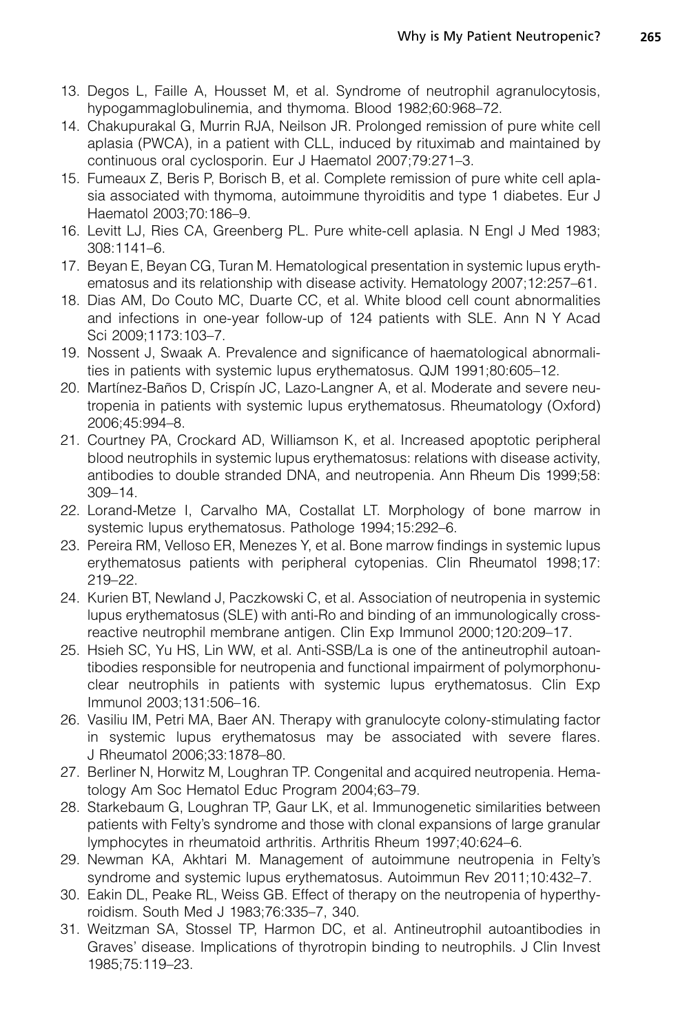- <span id="page-12-0"></span>13. Degos L, Faille A, Housset M, et al. Syndrome of neutrophil agranulocytosis, hypogammaglobulinemia, and thymoma. Blood 1982;60:968–72.
- 14. Chakupurakal G, Murrin RJA, Neilson JR. Prolonged remission of pure white cell aplasia (PWCA), in a patient with CLL, induced by rituximab and maintained by continuous oral cyclosporin. Eur J Haematol 2007;79:271–3.
- 15. Fumeaux Z, Beris P, Borisch B, et al. Complete remission of pure white cell aplasia associated with thymoma, autoimmune thyroiditis and type 1 diabetes. Eur J Haematol 2003;70:186–9.
- 16. Levitt LJ, Ries CA, Greenberg PL. Pure white-cell aplasia. N Engl J Med 1983; 308:1141–6.
- 17. Beyan E, Beyan CG, Turan M. Hematological presentation in systemic lupus erythematosus and its relationship with disease activity. Hematology 2007;12:257–61.
- 18. Dias AM, Do Couto MC, Duarte CC, et al. White blood cell count abnormalities and infections in one-year follow-up of 124 patients with SLE. Ann N Y Acad Sci 2009;1173:103–7.
- 19. Nossent J, Swaak A. Prevalence and significance of haematological abnormalities in patients with systemic lupus erythematosus. QJM 1991;80:605–12.
- 20. Martínez-Baños D, Crispín JC, Lazo-Langner A, et al. Moderate and severe neutropenia in patients with systemic lupus erythematosus. Rheumatology (Oxford) 2006;45:994–8.
- 21. Courtney PA, Crockard AD, Williamson K, et al. Increased apoptotic peripheral blood neutrophils in systemic lupus erythematosus: relations with disease activity, antibodies to double stranded DNA, and neutropenia. Ann Rheum Dis 1999;58: 309–14.
- 22. Lorand-Metze I, Carvalho MA, Costallat LT. Morphology of bone marrow in systemic lupus erythematosus. Pathologe 1994;15:292–6.
- 23. Pereira RM, Velloso ER, Menezes Y, et al. Bone marrow findings in systemic lupus erythematosus patients with peripheral cytopenias. Clin Rheumatol 1998;17: 219–22.
- 24. Kurien BT, Newland J, Paczkowski C, et al. Association of neutropenia in systemic lupus erythematosus (SLE) with anti-Ro and binding of an immunologically crossreactive neutrophil membrane antigen. Clin Exp Immunol 2000;120:209–17.
- 25. Hsieh SC, Yu HS, Lin WW, et al. Anti-SSB/La is one of the antineutrophil autoantibodies responsible for neutropenia and functional impairment of polymorphonuclear neutrophils in patients with systemic lupus erythematosus. Clin Exp Immunol 2003;131:506–16.
- 26. Vasiliu IM, Petri MA, Baer AN. Therapy with granulocyte colony-stimulating factor in systemic lupus erythematosus may be associated with severe flares. J Rheumatol 2006;33:1878–80.
- 27. Berliner N, Horwitz M, Loughran TP. Congenital and acquired neutropenia. Hematology Am Soc Hematol Educ Program 2004;63–79.
- 28. Starkebaum G, Loughran TP, Gaur LK, et al. Immunogenetic similarities between patients with Felty's syndrome and those with clonal expansions of large granular lymphocytes in rheumatoid arthritis. Arthritis Rheum 1997;40:624–6.
- 29. Newman KA, Akhtari M. Management of autoimmune neutropenia in Felty's syndrome and systemic lupus erythematosus. Autoimmun Rev 2011;10:432–7.
- 30. Eakin DL, Peake RL, Weiss GB. Effect of therapy on the neutropenia of hyperthyroidism. South Med J 1983;76:335–7, 340.
- 31. Weitzman SA, Stossel TP, Harmon DC, et al. Antineutrophil autoantibodies in Graves' disease. Implications of thyrotropin binding to neutrophils. J Clin Invest 1985;75:119–23.